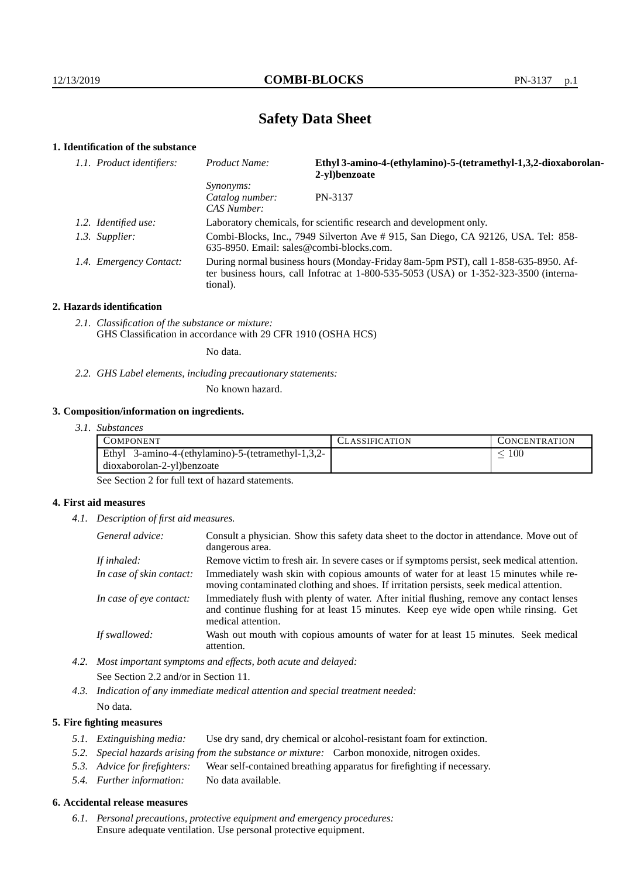# **Safety Data Sheet**

## **1. Identification of the substance**

| 1.1. Product identifiers: | Product Name:                                                                                                                                                                               | Ethyl 3-amino-4-(ethylamino)-5-(tetramethyl-1,3,2-dioxaborolan-<br>2-yl)benzoate |
|---------------------------|---------------------------------------------------------------------------------------------------------------------------------------------------------------------------------------------|----------------------------------------------------------------------------------|
|                           | <i>Synonyms:</i><br>Catalog number:<br>CAS Number:                                                                                                                                          | PN-3137                                                                          |
| 1.2. Identified use:      | Laboratory chemicals, for scientific research and development only.                                                                                                                         |                                                                                  |
| 1.3. Supplier:            | Combi-Blocks, Inc., 7949 Silverton Ave # 915, San Diego, CA 92126, USA. Tel: 858-<br>$635-8950$ . Email: sales@combi-blocks.com.                                                            |                                                                                  |
| 1.4. Emergency Contact:   | During normal business hours (Monday-Friday 8am-5pm PST), call 1-858-635-8950. Af-<br>ter business hours, call Infotrac at $1-800-535-5053$ (USA) or $1-352-323-3500$ (interna-<br>tional). |                                                                                  |

#### **2. Hazards identification**

*2.1. Classification of the substance or mixture:* GHS Classification in accordance with 29 CFR 1910 (OSHA HCS)

No data.

*2.2. GHS Label elements, including precautionary statements:*

No known hazard.

## **3. Composition/information on ingredients.**

*3.1. Substances*

| COMPONENT                                          | LASSIFICATION | CONCENTR ATION |
|----------------------------------------------------|---------------|----------------|
| Ethyl 3-amino-4-(ethylamino)-5-(tetramethyl-1,3,2- |               | $100\,$        |
| dioxaborolan-2-yl)benzoate                         |               |                |

See Section 2 for full text of hazard statements.

## **4. First aid measures**

*4.1. Description of first aid measures.*

| General advice:          | Consult a physician. Show this safety data sheet to the doctor in attendance. Move out of<br>dangerous area.                                                                                            |  |
|--------------------------|---------------------------------------------------------------------------------------------------------------------------------------------------------------------------------------------------------|--|
| If inhaled:              | Remove victim to fresh air. In severe cases or if symptoms persist, seek medical attention.                                                                                                             |  |
| In case of skin contact: | Immediately wash skin with copious amounts of water for at least 15 minutes while re-<br>moving contaminated clothing and shoes. If irritation persists, seek medical attention.                        |  |
| In case of eye contact:  | Immediately flush with plenty of water. After initial flushing, remove any contact lenses<br>and continue flushing for at least 15 minutes. Keep eye wide open while rinsing. Get<br>medical attention. |  |
| If swallowed:            | Wash out mouth with copious amounts of water for at least 15 minutes. Seek medical<br>attention.                                                                                                        |  |

*4.2. Most important symptoms and effects, both acute and delayed:* See Section 2.2 and/or in Section 11.

*4.3. Indication of any immediate medical attention and special treatment needed:* No data.

## **5. Fire fighting measures**

- *5.1. Extinguishing media:* Use dry sand, dry chemical or alcohol-resistant foam for extinction.
- *5.2. Special hazards arising from the substance or mixture:* Carbon monoxide, nitrogen oxides.
- *5.3. Advice for firefighters:* Wear self-contained breathing apparatus for firefighting if necessary.
- *5.4. Further information:* No data available.

## **6. Accidental release measures**

*6.1. Personal precautions, protective equipment and emergency procedures:* Ensure adequate ventilation. Use personal protective equipment.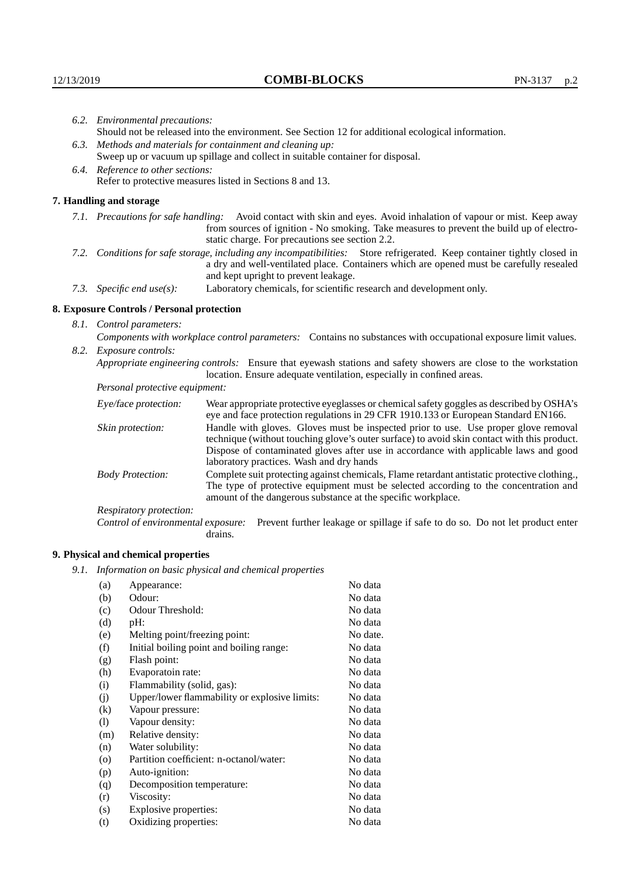|                           | 6.2. Environmental precautions:                                                                                                                                                                                                                            |                                                                                                                                                                                                                                                                    |  |
|---------------------------|------------------------------------------------------------------------------------------------------------------------------------------------------------------------------------------------------------------------------------------------------------|--------------------------------------------------------------------------------------------------------------------------------------------------------------------------------------------------------------------------------------------------------------------|--|
|                           | Should not be released into the environment. See Section 12 for additional ecological information.                                                                                                                                                         |                                                                                                                                                                                                                                                                    |  |
|                           |                                                                                                                                                                                                                                                            | 6.3. Methods and materials for containment and cleaning up:                                                                                                                                                                                                        |  |
|                           |                                                                                                                                                                                                                                                            | Sweep up or vacuum up spillage and collect in suitable container for disposal.                                                                                                                                                                                     |  |
|                           | 6.4. Reference to other sections:                                                                                                                                                                                                                          |                                                                                                                                                                                                                                                                    |  |
|                           |                                                                                                                                                                                                                                                            | Refer to protective measures listed in Sections 8 and 13.                                                                                                                                                                                                          |  |
|                           | 7. Handling and storage                                                                                                                                                                                                                                    |                                                                                                                                                                                                                                                                    |  |
|                           |                                                                                                                                                                                                                                                            | 7.1. Precautions for safe handling: Avoid contact with skin and eyes. Avoid inhalation of vapour or mist. Keep away<br>from sources of ignition - No smoking. Take measures to prevent the build up of electro-<br>static charge. For precautions see section 2.2. |  |
|                           | 7.2. Conditions for safe storage, including any incompatibilities: Store refrigerated. Keep container tightly closed in<br>a dry and well-ventilated place. Containers which are opened must be carefully resealed<br>and kept upright to prevent leakage. |                                                                                                                                                                                                                                                                    |  |
| 7.3. Specific end use(s): |                                                                                                                                                                                                                                                            | Laboratory chemicals, for scientific research and development only.                                                                                                                                                                                                |  |
|                           | 8. Exposure Controls / Personal protection                                                                                                                                                                                                                 |                                                                                                                                                                                                                                                                    |  |
|                           | 8.1. Control parameters:                                                                                                                                                                                                                                   |                                                                                                                                                                                                                                                                    |  |
|                           | Components with workplace control parameters: Contains no substances with occupational exposure limit values.                                                                                                                                              |                                                                                                                                                                                                                                                                    |  |
|                           | 8.2. Exposure controls:                                                                                                                                                                                                                                    |                                                                                                                                                                                                                                                                    |  |
|                           |                                                                                                                                                                                                                                                            | Appropriate engineering controls: Ensure that eyewash stations and safety showers are close to the workstation<br>location. Ensure adequate ventilation, especially in confined areas.                                                                             |  |
|                           | Personal protective equipment:                                                                                                                                                                                                                             |                                                                                                                                                                                                                                                                    |  |
|                           | Eye/face protection:                                                                                                                                                                                                                                       | Wear appropriate protective eyeglasses or chemical safety goggles as described by OSHA's<br>eye and face protection regulations in 29 CFR 1910.133 or European Standard EN166.                                                                                     |  |
|                           | Skin protection:                                                                                                                                                                                                                                           | Handle with gloves. Gloves must be inspected prior to use. Use proper glove removal<br>technique (without touching glove's outer surface) to avoid skin contact with this product.                                                                                 |  |

## **8. Exposure Controls / Personal protection**

| Eye/face protection:               | Wear appropriate protective eyeglasses or chemical safety goggles as described by OSHA's<br>eye and face protection regulations in 29 CFR 1910.133 or European Standard EN166.                                                                                                                                         |  |  |
|------------------------------------|------------------------------------------------------------------------------------------------------------------------------------------------------------------------------------------------------------------------------------------------------------------------------------------------------------------------|--|--|
| Skin protection:                   | Handle with gloves. Gloves must be inspected prior to use. Use proper glove removal<br>technique (without touching glove's outer surface) to avoid skin contact with this product.<br>Dispose of contaminated gloves after use in accordance with applicable laws and good<br>laboratory practices. Wash and dry hands |  |  |
| <b>Body Protection:</b>            | Complete suit protecting against chemicals, Flame retardant antistatic protective clothing.<br>The type of protective equipment must be selected according to the concentration and<br>amount of the dangerous substance at the specific workplace.                                                                    |  |  |
| Respiratory protection:            |                                                                                                                                                                                                                                                                                                                        |  |  |
| Control of environmental exposure: | Prevent further leakage or spillage if safe to do so. Do not let product enter<br>drains.                                                                                                                                                                                                                              |  |  |

## **9. Physical and chemical properties**

*9.1. Information on basic physical and chemical properties*

| (a)                | Appearance:                                   | No data  |
|--------------------|-----------------------------------------------|----------|
| (b)                | Odour:                                        | No data  |
| (c)                | Odour Threshold:                              | No data  |
| (d)                | pH:                                           | No data  |
| (e)                | Melting point/freezing point:                 | No date. |
| (f)                | Initial boiling point and boiling range:      | No data  |
| (g)                | Flash point:                                  | No data  |
| (h)                | Evaporatoin rate:                             | No data  |
| (i)                | Flammability (solid, gas):                    | No data  |
| (j)                | Upper/lower flammability or explosive limits: | No data  |
| $\rm(k)$           | Vapour pressure:                              | No data  |
| (1)                | Vapour density:                               | No data  |
| (m)                | Relative density:                             | No data  |
| (n)                | Water solubility:                             | No data  |
| $\left( 0 \right)$ | Partition coefficient: n-octanol/water:       | No data  |
| (p)                | Auto-ignition:                                | No data  |
| (q)                | Decomposition temperature:                    | No data  |
| (r)                | Viscosity:                                    | No data  |
| (s)                | Explosive properties:                         | No data  |
| (t)                | Oxidizing properties:                         | No data  |